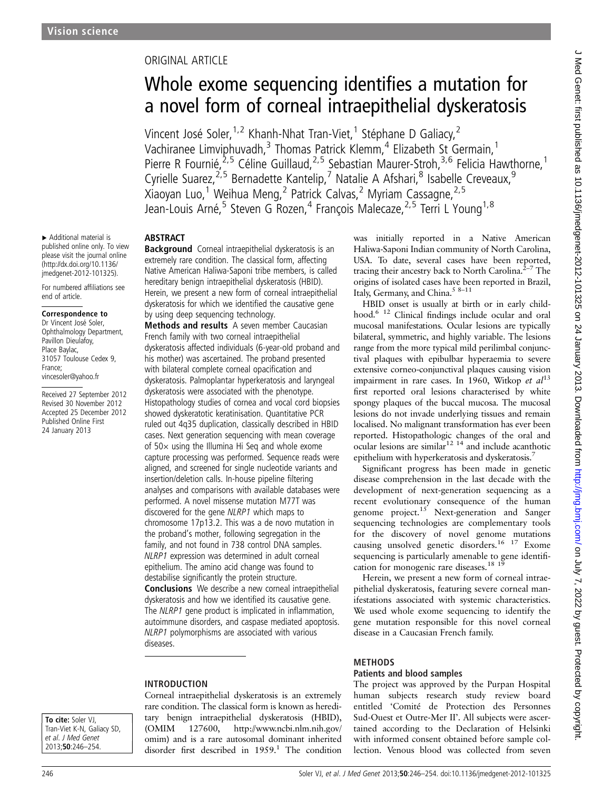▸ Additional material is published online only. To view please visit the journal online [\(http://dx.doi.org/10.1136/](http://dx.doi.org/10.1136/jmedgenet-2012-101325) [jmedgenet-2012-101325\)](http://dx.doi.org/10.1136/jmedgenet-2012-101325). For numbered affiliations see

end of article.

France;

Correspondence to Dr Vincent José Soler, Ophthalmology Department, Pavillon Dieulafoy, Place Baylac,

31057 Toulouse Cedex 9,

Received 27 September 2012 Revised 30 November 2012 Accepted 25 December 2012 Published Online First 24 January 2013

vincesoler@yahoo.fr

# ORIGINAL ARTICLE

# Whole exome sequencing identifies a mutation for a novel form of corneal intraepithelial dyskeratosis

Vincent José Soler,<sup>1,2</sup> Khanh-Nhat Tran-Viet,<sup>1</sup> Stéphane D Galiacy,<sup>2</sup> Vachiranee Limviphuvadh,<sup>3</sup> Thomas Patrick Klemm,<sup>4</sup> Elizabeth St Germain,<sup>1</sup> Pierre R Fournié,<sup>2,5</sup> Céline Guillaud,<sup>2,5</sup> Sebastian Maurer-Stroh,<sup>3,6</sup> Felicia Hawthorne,<sup>1</sup> Cyrielle Suarez,<sup>2,5</sup> Bernadette Kantelip,<sup>7</sup> Natalie A Afshari,<sup>8</sup> Isabelle Creveaux,<sup>9</sup> Xiaoyan Luo,<sup>1</sup> Weihua Meng,<sup>2</sup> Patrick Calvas,<sup>2</sup> Myriam Cassagne,<sup>2,5</sup> Jean-Louis Arné,<sup>5</sup> Steven G Rozen,<sup>4</sup> François Malecaze,<sup>2,5</sup> Terri L Young<sup>1,8</sup>

### **ABSTRACT**

Background Corneal intraepithelial dyskeratosis is an extremely rare condition. The classical form, affecting Native American Haliwa-Saponi tribe members, is called hereditary benign intraepithelial dyskeratosis (HBID). Herein, we present a new form of corneal intraepithelial dyskeratosis for which we identified the causative gene by using deep sequencing technology.

Methods and results A seven member Caucasian French family with two corneal intraepithelial dyskeratosis affected individuals (6-year-old proband and his mother) was ascertained. The proband presented with bilateral complete corneal opacification and dyskeratosis. Palmoplantar hyperkeratosis and laryngeal dyskeratosis were associated with the phenotype. Histopathology studies of cornea and vocal cord biopsies showed dyskeratotic keratinisation. Quantitative PCR ruled out 4q35 duplication, classically described in HBID cases. Next generation sequencing with mean coverage of  $50\times$  using the Illumina Hi Seq and whole exome capture processing was performed. Sequence reads were aligned, and screened for single nucleotide variants and insertion/deletion calls. In-house pipeline filtering analyses and comparisons with available databases were performed. A novel missense mutation M77T was discovered for the gene NLRP1 which maps to chromosome 17p13.2. This was a de novo mutation in the proband's mother, following segregation in the family, and not found in 738 control DNA samples. NLRP1 expression was determined in adult corneal epithelium. The amino acid change was found to destabilise significantly the protein structure. Conclusions We describe a new corneal intraepithelial dyskeratosis and how we identified its causative gene. The NLRP1 gene product is implicated in inflammation, autoimmune disorders, and caspase mediated apoptosis. NLRP1 polymorphisms are associated with various diseases.

INTRODUCTION

Corneal intraepithelial dyskeratosis is an extremely rare condition. The classical form is known as hereditary benign intraepithelial dyskeratosis (HBID), (OMIM 127600, [http://www.ncbi.nlm.nih.gov/](http://www.ncbi.nlm.nih.gov/omim) [omim](http://www.ncbi.nlm.nih.gov/omim)) and is a rare autosomal dominant inherited disorder first described in  $1959$ .<sup>1</sup> The condition

was initially reported in a Native American Haliwa-Saponi Indian community of North Carolina, USA. To date, several cases have been reported, tracing their ancestry back to North Carolina.<sup>2-7</sup> The origins of isolated cases have been reported in Brazil, Italy, Germany, and China.<sup>5 8-11</sup>

HBID onset is usually at birth or in early childhood.6 12 Clinical findings include ocular and oral mucosal manifestations. Ocular lesions are typically bilateral, symmetric, and highly variable. The lesions range from the more typical mild perilimbal conjunctival plaques with epibulbar hyperaemia to severe extensive corneo-conjunctival plaques causing vision impairment in rare cases. In 1960, Witkop et  $al<sup>13</sup>$ first reported oral lesions characterised by white spongy plaques of the buccal mucosa. The mucosal lesions do not invade underlying tissues and remain localised. No malignant transformation has ever been reported. Histopathologic changes of the oral and ocular lesions are similar<sup>12 14</sup> and include acanthotic epithelium with hyperkeratosis and dyskeratosis.7

Significant progress has been made in genetic disease comprehension in the last decade with the development of next-generation sequencing as a recent evolutionary consequence of the human genome project.<sup>15</sup> Next-generation and Sanger sequencing technologies are complementary tools for the discovery of novel genome mutations causing unsolved genetic disorders.16 17 Exome sequencing is particularly amenable to gene identification for monogenic rare diseases.<sup>18</sup><sup>19</sup>

Herein, we present a new form of corneal intraepithelial dyskeratosis, featuring severe corneal manifestations associated with systemic characteristics. We used whole exome sequencing to identify the gene mutation responsible for this novel corneal disease in a Caucasian French family.

### **METHODS**

### Patients and blood samples

The project was approved by the Purpan Hospital human subjects research study review board entitled 'Comité de Protection des Personnes Sud-Ouest et Outre-Mer II'. All subjects were ascertained according to the Declaration of Helsinki with informed consent obtained before sample collection. Venous blood was collected from seven

To cite: Soler VJ. Tran-Viet K-N, Galiacy SD, et al. J Med Genet 2013;50:246–254.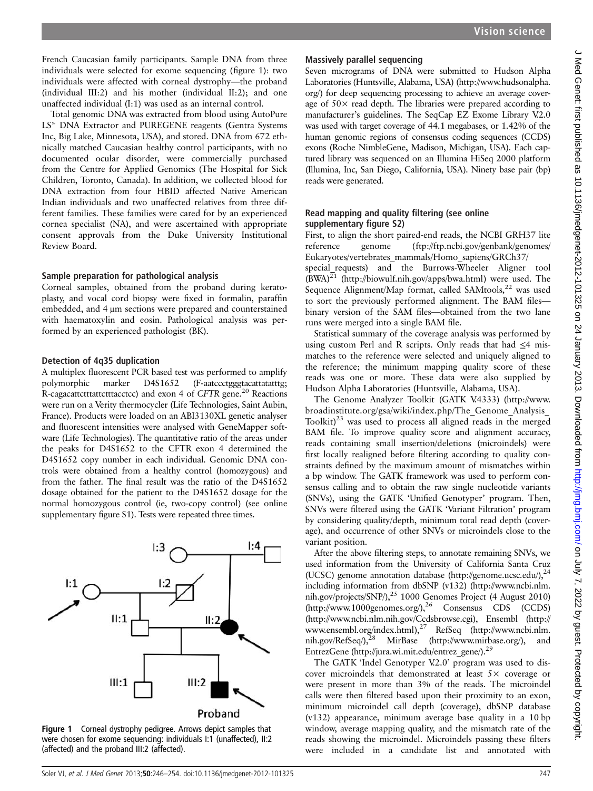French Caucasian family participants. Sample DNA from three individuals were selected for exome sequencing (figure 1): two individuals were affected with corneal dystrophy—the proband (individual III:2) and his mother (individual II:2); and one unaffected individual (I:1) was used as an internal control.

Total genomic DNA was extracted from blood using AutoPure LS\* DNA Extractor and PUREGENE reagents (Gentra Systems Inc, Big Lake, Minnesota, USA), and stored. DNA from 672 ethnically matched Caucasian healthy control participants, with no documented ocular disorder, were commercially purchased from the Centre for Applied Genomics (The Hospital for Sick Children, Toronto, Canada). In addition, we collected blood for DNA extraction from four HBID affected Native American Indian individuals and two unaffected relatives from three different families. These families were cared for by an experienced cornea specialist (NA), and were ascertained with appropriate consent approvals from the Duke University Institutional Review Board.

### Sample preparation for pathological analysis

Corneal samples, obtained from the proband during keratoplasty, and vocal cord biopsy were fixed in formalin, paraffin embedded, and 4 μm sections were prepared and counterstained with haematoxylin and eosin. Pathological analysis was performed by an experienced pathologist (BK).

### Detection of 4q35 duplication

A multiplex fluorescent PCR based test was performed to amplify polymorphic marker D4S1652 (F-aatccctgggtacattatatttg; R-cagacattctttattctttacctcc) and exon 4 of CFTR gene.<sup>20</sup> Reactions were run on a Verity thermocycler (Life Technologies, Saint Aubin, France). Products were loaded on an ABI3130XL genetic analyser and fluorescent intensities were analysed with GeneMapper software (Life Technologies). The quantitative ratio of the areas under the peaks for D4S1652 to the CFTR exon 4 determined the D4S1652 copy number in each individual. Genomic DNA controls were obtained from a healthy control (homozygous) and from the father. The final result was the ratio of the D4S1652 dosage obtained for the patient to the D4S1652 dosage for the normal homozygous control (ie, two-copy control) (see online supplementary figure S1). Tests were repeated three times.



Figure 1 Corneal dystrophy pedigree. Arrows depict samples that were chosen for exome sequencing: individuals I:1 (unaffected), II:2 (affected) and the proband III:2 (affected).

### Massively parallel sequencing

Seven micrograms of DNA were submitted to Hudson Alpha Laboratories (Huntsville, Alabama, USA) [\(http://www.hudsonalpha.](http://www.hudsonalpha.org/) [org/](http://www.hudsonalpha.org/)) for deep sequencing processing to achieve an average coverage of  $50\times$  read depth. The libraries were prepared according to manufacturer's guidelines. The SeqCap EZ Exome Library V.2.0 was used with target coverage of 44.1 megabases, or 1.42% of the human genomic regions of consensus coding sequences (CCDS) exons (Roche NimbleGene, Madison, Michigan, USA). Each captured library was sequenced on an Illumina HiSeq 2000 platform (Illumina, Inc, San Diego, California, USA). Ninety base pair (bp) reads were generated.

### Read mapping and quality filtering (see online supplementary figure S2)

First, to align the short paired-end reads, the NCBI GRH37 lite reference genome [\(ftp://ftp.ncbi.gov/genbank/genomes/](ftp://ftp.ncbi.gov/genbank/genomes/Eukaryotes/vertebrates_mammals/Homo_sapiens/GRCh37/special_requests) [Eukaryotes/vertebrates\\_mammals/Homo\\_sapiens/GRCh37/](ftp://ftp.ncbi.gov/genbank/genomes/Eukaryotes/vertebrates_mammals/Homo_sapiens/GRCh37/special_requests)

special requests) and the Burrows-Wheeler Aligner tool  $(BWA)^{21}$  (<http://biowulf.nih.gov/apps/bwa.html>) were used. The Sequence Alignment/Map format, called  $SAMtools$ ,<sup>22</sup> was used to sort the previously performed alignment. The BAM files binary version of the SAM files—obtained from the two lane runs were merged into a single BAM file.

Statistical summary of the coverage analysis was performed by using custom Perl and R scripts. Only reads that had  $\leq 4$  mismatches to the reference were selected and uniquely aligned to the reference; the minimum mapping quality score of these reads was one or more. These data were also supplied by Hudson Alpha Laboratories (Huntsville, Alabama, USA).

The Genome Analyzer Toolkit (GATK V.4333) [\(http://www.](http://www.broadinstitute.org/gsa/wiki/index.php/The_Genome_Analysis_Toolkit) [broadinstitute.org/gsa/wiki/index.php/The\\_Genome\\_Analysis\\_](http://www.broadinstitute.org/gsa/wiki/index.php/The_Genome_Analysis_Toolkit) [Toolkit\)](http://www.broadinstitute.org/gsa/wiki/index.php/The_Genome_Analysis_Toolkit)<sup>23</sup> was used to process all aligned reads in the merged BAM file. To improve quality score and alignment accuracy, reads containing small insertion/deletions (microindels) were first locally realigned before filtering according to quality constraints defined by the maximum amount of mismatches within a bp window. The GATK framework was used to perform consensus calling and to obtain the raw single nucleotide variants (SNVs), using the GATK 'Unified Genotyper' program. Then, SNVs were filtered using the GATK 'Variant Filtration' program by considering quality/depth, minimum total read depth (coverage), and occurrence of other SNVs or microindels close to the variant position.

After the above filtering steps, to annotate remaining SNVs, we used information from the University of California Santa Cruz (UCSC) genome annotation database [\(http://genome.ucsc.edu/\)](http://genome.ucsc.edu/),<sup>24</sup> including information from dbSNP (v132) [\(http://www.ncbi.nlm.](http://www.ncbi.nlm.nih.gov/projects/SNP/) [nih.gov/projects/SNP/\)](http://www.ncbi.nlm.nih.gov/projects/SNP/),<sup>25</sup> 1000 Genomes Project (4 August 2010) [\(http://www.1000genomes.org/](http://www.1000genomes.org/)),<sup>26</sup> Consensus CDS (CCDS) [\(http://www.ncbi.nlm.nih.gov/Ccdsbrowse.cgi](http://www.ncbi.nlm.nih.gov/Ccdsbrowse.cgi)), Ensembl [\(http://](http://www.ensembl.org/index.html) [www.ensembl.org/index.html](http://www.ensembl.org/index.html)),27 RefSeq [\(http://www.ncbi.nlm.](http://www.ncbi.nlm.nih.gov/RefSeq/) [nih.gov/RefSeq/\)](http://www.ncbi.nlm.nih.gov/RefSeq/),28 MirBase (<http://www.mirbase.org/>), and EntrezGene [\(http://jura.wi.mit.edu/entrez\\_gene/\)](http://jura.wi.mit.edu/entrez_gene/).<sup>29</sup>

The GATK 'Indel Genotyper V.2.0' program was used to discover microindels that demonstrated at least 5× coverage or were present in more than 3% of the reads. The microindel calls were then filtered based upon their proximity to an exon, minimum microindel call depth (coverage), dbSNP database (v132) appearance, minimum average base quality in a 10 bp window, average mapping quality, and the mismatch rate of the reads showing the microindel. Microindels passing these filters were included in a candidate list and annotated with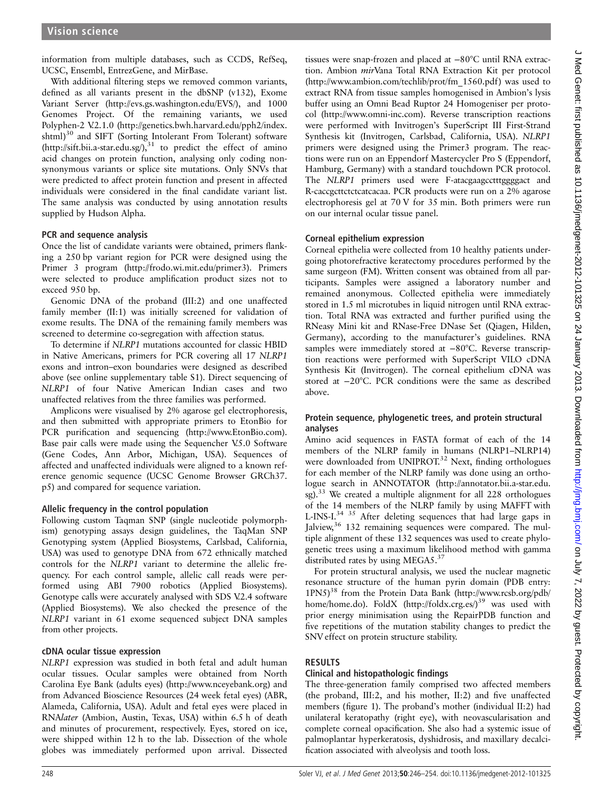information from multiple databases, such as CCDS, RefSeq, UCSC, Ensembl, EntrezGene, and MirBase.

With additional filtering steps we removed common variants, defined as all variants present in the dbSNP (v132), Exome Variant Server ([http://evs.gs.washington.edu/EVS/\)](http://evs.gs.washington.edu/EVS/), and 1000 Genomes Project. Of the remaining variants, we used Polyphen-2 V.2.1.0 [\(http://genetics.bwh.harvard.edu/pph2/index.](http://genetics.bwh.harvard.edu/pph2/index.shtml) [shtml](http://genetics.bwh.harvard.edu/pph2/index.shtml))<sup>30</sup> and SIFT (Sorting Intolerant From Tolerant) software ([http://sift.bii.a-star.edu.sg/\)](http://sift.bii.a-star.edu.sg/), $31$  to predict the effect of amino acid changes on protein function, analysing only coding nonsynonymous variants or splice site mutations. Only SNVs that were predicted to affect protein function and present in affected individuals were considered in the final candidate variant list. The same analysis was conducted by using annotation results supplied by Hudson Alpha.

### PCR and sequence analysis

Once the list of candidate variants were obtained, primers flanking a 250 bp variant region for PCR were designed using the Primer 3 program ([http://frodo.wi.mit.edu/primer3\)](http://frodo.wi.mit.edu/primer3). Primers were selected to produce amplification product sizes not to exceed 950 bp.

Genomic DNA of the proband (III:2) and one unaffected family member (II:1) was initially screened for validation of exome results. The DNA of the remaining family members was screened to determine co-segregation with affection status.

To determine if NLRP1 mutations accounted for classic HBID in Native Americans, primers for PCR covering all 17 NLRP1 exons and intron–exon boundaries were designed as described above (see online supplementary table S1). Direct sequencing of NLRP1 of four Native American Indian cases and two unaffected relatives from the three families was performed.

Amplicons were visualised by 2% agarose gel electrophoresis, and then submitted with appropriate primers to EtonBio for PCR purification and sequencing [\(http://www.EtonBio.com](http://www.EtonBio.com)). Base pair calls were made using the Sequencher V.5.0 Software (Gene Codes, Ann Arbor, Michigan, USA). Sequences of affected and unaffected individuals were aligned to a known reference genomic sequence (UCSC Genome Browser GRCh37. p5) and compared for sequence variation.

# Allelic frequency in the control population

Following custom Taqman SNP (single nucleotide polymorphism) genotyping assays design guidelines, the TaqMan SNP Genotyping system (Applied Biosystems, Carlsbad, California, USA) was used to genotype DNA from 672 ethnically matched controls for the NLRP1 variant to determine the allelic frequency. For each control sample, allelic call reads were performed using ABI 7900 robotics (Applied Biosystems). Genotype calls were accurately analysed with SDS V.2.4 software (Applied Biosystems). We also checked the presence of the NLRP1 variant in 61 exome sequenced subject DNA samples from other projects.

# cDNA ocular tissue expression

NLRP1 expression was studied in both fetal and adult human ocular tissues. Ocular samples were obtained from North Carolina Eye Bank (adults eyes) ([http://www.nceyebank.org\)](http://www.nceyebank.org) and from Advanced Bioscience Resources (24 week fetal eyes) (ABR, Alameda, California, USA). Adult and fetal eyes were placed in RNAlater (Ambion, Austin, Texas, USA) within 6.5 h of death and minutes of procurement, respectively. Eyes, stored on ice, were shipped within 12 h to the lab. Dissection of the whole globes was immediately performed upon arrival. Dissected

tissues were snap-frozen and placed at −80°C until RNA extraction. Ambion mirVana Total RNA Extraction Kit per protocol ([http://www.ambion.com/techlib/prot/fm\\_1560.pdf](http://www.ambion.com/techlib/prot/fm_1560.pdf) ) was used to extract RNA from tissue samples homogenised in Ambion's lysis buffer using an Omni Bead Ruptor 24 Homogeniser per protocol (<http://www.omni-inc.com>). Reverse transcription reactions were performed with Invitrogen's SuperScript III First-Strand Synthesis kit (Invitrogen, Carlsbad, California, USA). NLRP1 primers were designed using the Primer3 program. The reactions were run on an Eppendorf Mastercycler Pro S (Eppendorf, Hamburg, Germany) with a standard touchdown PCR protocol. The NLRP1 primers used were F-atacgaagcctttggggact and R-caccgcttctctcatcacaa. PCR products were run on a 2% agarose electrophoresis gel at 70 V for 35 min. Both primers were run on our internal ocular tissue panel.

### Corneal epithelium expression

Corneal epithelia were collected from 10 healthy patients undergoing photorefractive keratectomy procedures performed by the same surgeon (FM). Written consent was obtained from all participants. Samples were assigned a laboratory number and remained anonymous. Collected epithelia were immediately stored in 1.5 ml microtubes in liquid nitrogen until RNA extraction. Total RNA was extracted and further purified using the RNeasy Mini kit and RNase-Free DNase Set (Qiagen, Hilden, Germany), according to the manufacturer's guidelines. RNA samples were immediately stored at −80°C. Reverse transcription reactions were performed with SuperScript VILO cDNA Synthesis Kit (Invitrogen). The corneal epithelium cDNA was stored at −20°C. PCR conditions were the same as described above.

### Protein sequence, phylogenetic trees, and protein structural analyses

Amino acid sequences in FASTA format of each of the 14 members of the NLRP family in humans (NLRP1–NLRP14) were downloaded from UNIPROT.<sup>32</sup> Next, finding orthologues for each member of the NLRP family was done using an orthologue search in ANNOTATOR ([http://annotator.bii.a-star.edu.](http://annotator.bii.a-star.edu.sg) [sg](http://annotator.bii.a-star.edu.sg)).33 We created a multiple alignment for all 228 orthologues of the 14 members of the NLRP family by using MAFFT with L-INS-I.<sup>34 35</sup> After deleting sequences that had large gaps in Jalview,<sup>36</sup> 132 remaining sequences were compared. The multiple alignment of these 132 sequences was used to create phylogenetic trees using a maximum likelihood method with gamma distributed rates by using MEGA5.<sup>37</sup>

For protein structural analysis, we used the nuclear magnetic resonance structure of the human pyrin domain (PDB entry:  $1PN5$ <sup>38</sup> from the Protein Data Bank [\(http://www.rcsb.org/pdb/](http://www.rcsb.org/pdb/home/home.do) [home/home.do](http://www.rcsb.org/pdb/home/home.do)). FoldX (<http://foldx.crg.es/>)<sup>39</sup> was used with prior energy minimisation using the RepairPDB function and five repetitions of the mutation stability changes to predict the SNV effect on protein structure stability.

# RESULTS

# Clinical and histopathologic findings

The three-generation family comprised two affected members (the proband, III:2, and his mother, II:2) and five unaffected members (figure 1). The proband's mother (individual II:2) had unilateral keratopathy (right eye), with neovascularisation and complete corneal opacification. She also had a systemic issue of palmoplantar hyperkeratosis, dyshidrosis, and maxillary decalcification associated with alveolysis and tooth loss.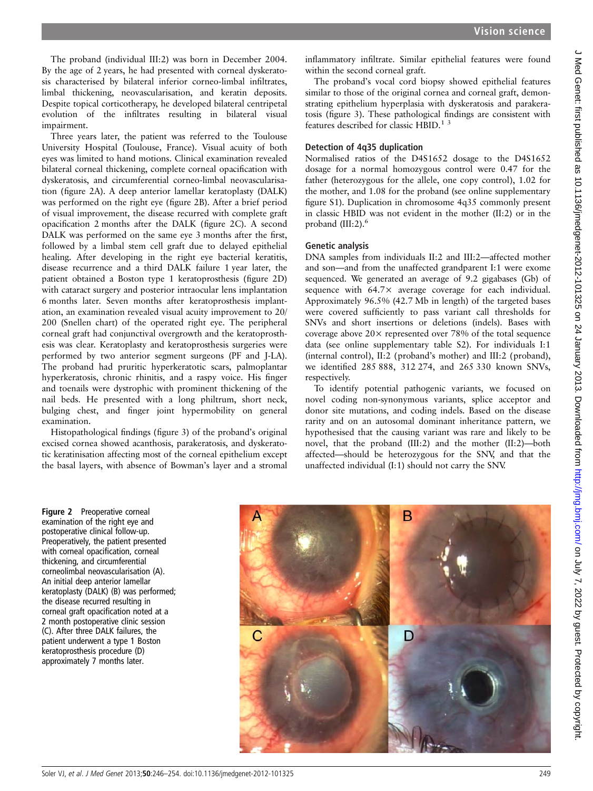The proband (individual III:2) was born in December 2004. By the age of 2 years, he had presented with corneal dyskeratosis characterised by bilateral inferior corneo-limbal infiltrates, limbal thickening, neovascularisation, and keratin deposits. Despite topical corticotherapy, he developed bilateral centripetal evolution of the infiltrates resulting in bilateral visual impairment.

Three years later, the patient was referred to the Toulouse University Hospital (Toulouse, France). Visual acuity of both eyes was limited to hand motions. Clinical examination revealed bilateral corneal thickening, complete corneal opacification with dyskeratosis, and circumferential corneo-limbal neovascularisation (figure 2A). A deep anterior lamellar keratoplasty (DALK) was performed on the right eye (figure 2B). After a brief period of visual improvement, the disease recurred with complete graft opacification 2 months after the DALK (figure 2C). A second DALK was performed on the same eye 3 months after the first, followed by a limbal stem cell graft due to delayed epithelial healing. After developing in the right eye bacterial keratitis, disease recurrence and a third DALK failure 1 year later, the patient obtained a Boston type 1 keratoprosthesis (figure 2D) with cataract surgery and posterior intraocular lens implantation 6 months later. Seven months after keratoprosthesis implantation, an examination revealed visual acuity improvement to 20/ 200 (Snellen chart) of the operated right eye. The peripheral corneal graft had conjunctival overgrowth and the keratoprosthesis was clear. Keratoplasty and keratoprosthesis surgeries were performed by two anterior segment surgeons (PF and J-LA). The proband had pruritic hyperkeratotic scars, palmoplantar hyperkeratosis, chronic rhinitis, and a raspy voice. His finger and toenails were dystrophic with prominent thickening of the nail beds. He presented with a long philtrum, short neck, bulging chest, and finger joint hypermobility on general examination.

Histopathological findings (figure 3) of the proband's original excised cornea showed acanthosis, parakeratosis, and dyskeratotic keratinisation affecting most of the corneal epithelium except the basal layers, with absence of Bowman's layer and a stromal

inflammatory infiltrate. Similar epithelial features were found within the second corneal graft.

The proband's vocal cord biopsy showed epithelial features similar to those of the original cornea and corneal graft, demonstrating epithelium hyperplasia with dyskeratosis and parakeratosis (figure 3). These pathological findings are consistent with features described for classic HBID.<sup>1 3</sup>

### Detection of 4q35 duplication

Normalised ratios of the D4S1652 dosage to the D4S1652 dosage for a normal homozygous control were 0.47 for the father (heterozygous for the allele, one copy control), 1.02 for the mother, and 1.08 for the proband (see online supplementary figure S1). Duplication in chromosome 4q35 commonly present in classic HBID was not evident in the mother (II:2) or in the proband  $(III:2)$ .

### Genetic analysis

DNA samples from individuals II:2 and III:2—affected mother and son—and from the unaffected grandparent I:1 were exome sequenced. We generated an average of 9.2 gigabases (Gb) of sequence with 64.7× average coverage for each individual. Approximately 96.5% (42.7 Mb in length) of the targeted bases were covered sufficiently to pass variant call thresholds for SNVs and short insertions or deletions (indels). Bases with coverage above  $20 \times$  represented over 78% of the total sequence data (see online supplementary table S2). For individuals I:1 (internal control), II:2 (proband's mother) and III:2 (proband), we identified 285 888, 312 274, and 265 330 known SNVs, respectively.

To identify potential pathogenic variants, we focused on novel coding non-synonymous variants, splice acceptor and donor site mutations, and coding indels. Based on the disease rarity and on an autosomal dominant inheritance pattern, we hypothesised that the causing variant was rare and likely to be novel, that the proband (III:2) and the mother (II:2)—both affected—should be heterozygous for the SNV, and that the unaffected individual (I:1) should not carry the SNV.

J Med Genet: first published as 10.1136/jmedgenet-2012-101325 on 24 January 2013. Downloaded from http://jmg.bmj.com/ on July 7, 2022 by guest. Protected by copyright J Med Genet: first published as 10.1136/jmedgenet-2012-101325 on 24 January 2013. Downloaded from <http://jmg.bmj.com/> on July 7, 2022 by guest. Protected by copyright.

Figure 2 Preoperative corneal examination of the right eye and postoperative clinical follow-up. Preoperatively, the patient presented with corneal opacification, corneal thickening, and circumferential corneolimbal neovascularisation (A). An initial deep anterior lamellar keratoplasty (DALK) (B) was performed; the disease recurred resulting in corneal graft opacification noted at a 2 month postoperative clinic session (C). After three DALK failures, the patient underwent a type 1 Boston keratoprosthesis procedure (D) approximately 7 months later.

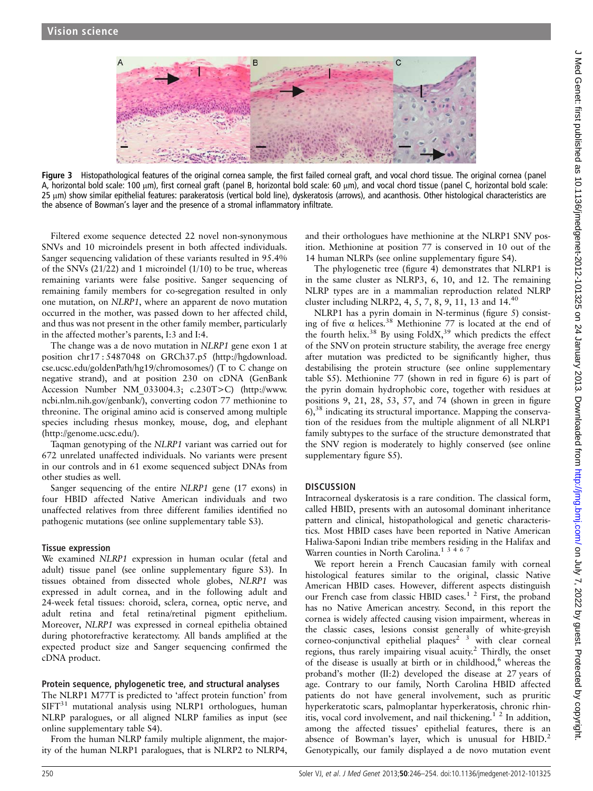

Figure 3 Histopathological features of the original cornea sample, the first failed corneal graft, and vocal chord tissue. The original cornea (panel A, horizontal bold scale: 100 μm), first corneal graft (panel B, horizontal bold scale: 60 μm), and vocal chord tissue (panel C, horizontal bold scale: 25 μm) show similar epithelial features: parakeratosis (vertical bold line), dyskeratosis (arrows), and acanthosis. Other histological characteristics are the absence of Bowman's layer and the presence of a stromal inflammatory infiltrate.

Filtered exome sequence detected 22 novel non-synonymous SNVs and 10 microindels present in both affected individuals. Sanger sequencing validation of these variants resulted in 95.4% of the SNVs (21/22) and 1 microindel (1/10) to be true, whereas remaining variants were false positive. Sanger sequencing of remaining family members for co-segregation resulted in only one mutation, on NLRP1, where an apparent de novo mutation occurred in the mother, was passed down to her affected child, and thus was not present in the other family member, particularly in the affected mother's parents, I:3 and I:4.

The change was a de novo mutation in NLRP1 gene exon 1 at position chr17 : 5487048 on GRCh37.p5 [\(http://hgdownload.](http://hgdownload.cse.ucsc.edu/goldenPath/hg19/chromosomes/) [cse.ucsc.edu/goldenPath/hg19/chromosomes/\)](http://hgdownload.cse.ucsc.edu/goldenPath/hg19/chromosomes/) (T to C change on negative strand), and at position 230 on cDNA (GenBank Accession Number NM\_033004.3; c.230T>C) [\(http://www.](http://www.ncbi.nlm.nih.gov/genbank/) [ncbi.nlm.nih.gov/genbank/\)](http://www.ncbi.nlm.nih.gov/genbank/), converting codon 77 methionine to threonine. The original amino acid is conserved among multiple species including rhesus monkey, mouse, dog, and elephant ([http://genome.ucsc.edu/\)](http://genome.ucsc.edu/).

Taqman genotyping of the NLRP1 variant was carried out for 672 unrelated unaffected individuals. No variants were present in our controls and in 61 exome sequenced subject DNAs from other studies as well.

Sanger sequencing of the entire NLRP1 gene (17 exons) in four HBID affected Native American individuals and two unaffected relatives from three different families identified no pathogenic mutations (see online supplementary table S3).

### Tissue expression

We examined NLRP1 expression in human ocular (fetal and adult) tissue panel (see online supplementary figure S3). In tissues obtained from dissected whole globes, NLRP1 was expressed in adult cornea, and in the following adult and 24-week fetal tissues: choroid, sclera, cornea, optic nerve, and adult retina and fetal retina/retinal pigment epithelium. Moreover, NLRP1 was expressed in corneal epithelia obtained during photorefractive keratectomy. All bands amplified at the expected product size and Sanger sequencing confirmed the cDNA product.

### Protein sequence, phylogenetic tree, and structural analyses

The NLRP1 M77T is predicted to 'affect protein function' from  $SIFT<sup>31</sup>$  mutational analysis using NLRP1 orthologues, human NLRP paralogues, or all aligned NLRP families as input (see online supplementary table S4).

From the human NLRP family multiple alignment, the majority of the human NLRP1 paralogues, that is NLRP2 to NLRP4, and their orthologues have methionine at the NLRP1 SNV position. Methionine at position 77 is conserved in 10 out of the 14 human NLRPs (see online supplementary figure S4).

The phylogenetic tree (figure 4) demonstrates that NLRP1 is in the same cluster as NLRP3, 6, 10, and 12. The remaining NLRP types are in a mammalian reproduction related NLRP cluster including NLRP2, 4, 5, 7, 8, 9, 11, 13 and 14.40

NLRP1 has a pyrin domain in N-terminus (figure 5) consisting of five  $\alpha$  helices.<sup>38</sup> Methionine 77 is located at the end of the fourth helix.<sup>38</sup> By using FoldX,<sup>39</sup> which predicts the effect of the SNV on protein structure stability, the average free energy after mutation was predicted to be significantly higher, thus destabilising the protein structure (see online supplementary table S5). Methionine 77 (shown in red in figure 6) is part of the pyrin domain hydrophobic core, together with residues at positions 9, 21, 28, 53, 57, and 74 (shown in green in figure  $6$ ,<sup>38</sup> indicating its structural importance. Mapping the conservation of the residues from the multiple alignment of all NLRP1 family subtypes to the surface of the structure demonstrated that the SNV region is moderately to highly conserved (see online supplementary figure S5).

### **DISCUSSION**

Intracorneal dyskeratosis is a rare condition. The classical form, called HBID, presents with an autosomal dominant inheritance pattern and clinical, histopathological and genetic characteristics. Most HBID cases have been reported in Native American Haliwa-Saponi Indian tribe members residing in the Halifax and Warren counties in North Carolina.<sup>13467</sup>

We report herein a French Caucasian family with corneal histological features similar to the original, classic Native American HBID cases. However, different aspects distinguish our French case from classic HBID cases.<sup>1 2</sup> First, the proband has no Native American ancestry. Second, in this report the cornea is widely affected causing vision impairment, whereas in the classic cases, lesions consist generally of white-greyish corneo-conjunctival epithelial plaques<sup>2</sup> <sup>3</sup> with clear corneal regions, thus rarely impairing visual acuity.<sup>2</sup> Thirdly, the onset of the disease is usually at birth or in childhood, $6$  whereas the proband's mother (II:2) developed the disease at 27 years of age. Contrary to our family, North Carolina HBID affected patients do not have general involvement, such as pruritic hyperkeratotic scars, palmoplantar hyperkeratosis, chronic rhinitis, vocal cord involvement, and nail thickening.<sup>1</sup><sup>2</sup> In addition, among the affected tissues' epithelial features, there is an absence of Bowman's layer, which is unusual for HBID.<sup>2</sup> Genotypically, our family displayed a de novo mutation event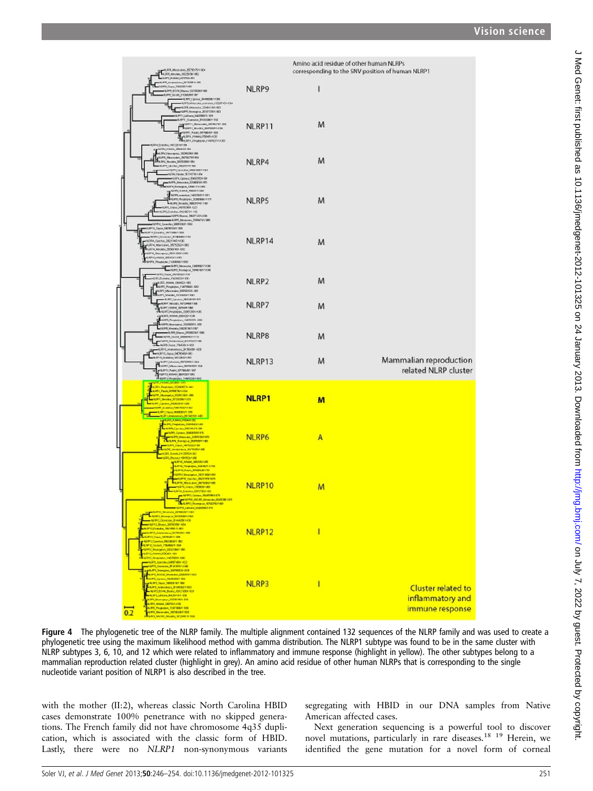

Figure 4 The phylogenetic tree of the NLRP family. The multiple alignment contained 132 sequences of the NLRP family and was used to create a phylogenetic tree using the maximum likelihood method with gamma distribution. The NLRP1 subtype was found to be in the same cluster with NLRP subtypes 3, 6, 10, and 12 which were related to inflammatory and immune response (highlight in yellow). The other subtypes belong to a mammalian reproduction related cluster (highlight in grey). An amino acid residue of other human NLRPs that is corresponding to the single nucleotide variant position of NLRP1 is also described in the tree.

with the mother (II:2), whereas classic North Carolina HBID cases demonstrate 100% penetrance with no skipped generations. The French family did not have chromosome 4q35 duplication, which is associated with the classic form of HBID. Lastly, there were no NLRP1 non-synonymous variants segregating with HBID in our DNA samples from Native American affected cases.

Next generation sequencing is a powerful tool to discover novel mutations, particularly in rare diseases.18 19 Herein, we identified the gene mutation for a novel form of corneal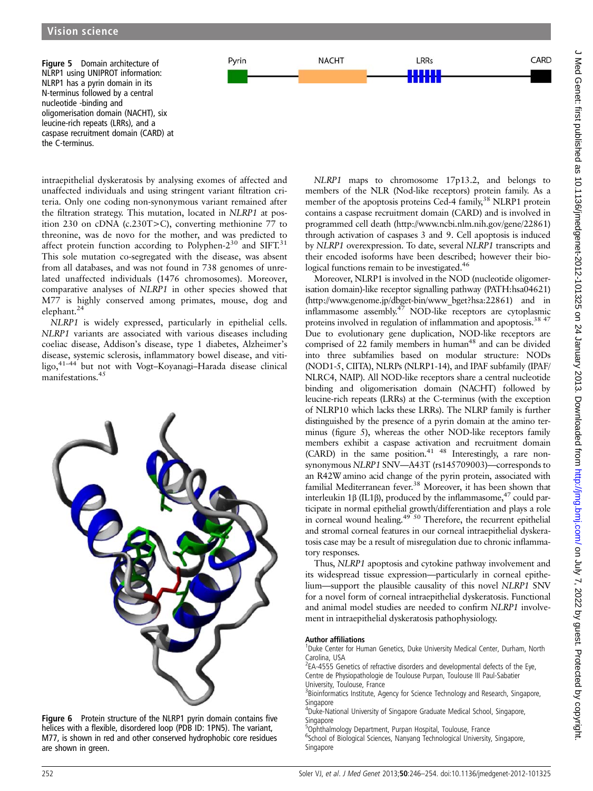CARD

Figure 5 Domain architecture of NLRP1 using UNIPROT information: NLRP1 has a pyrin domain in its N-terminus followed by a central nucleotide -binding and oligomerisation domain (NACHT), six leucine-rich repeats (LRRs), and a caspase recruitment domain (CARD) at the C-terminus.

intraepithelial dyskeratosis by analysing exomes of affected and unaffected individuals and using stringent variant filtration criteria. Only one coding non-synonymous variant remained after the filtration strategy. This mutation, located in NLRP1 at position 230 on cDNA (c.230T>C), converting methionine 77 to threonine, was de novo for the mother, and was predicted to affect protein function according to Polyphen- $2^{30}$  and SIFT.<sup>31</sup> This sole mutation co-segregated with the disease, was absent from all databases, and was not found in 738 genomes of unrelated unaffected individuals (1476 chromosomes). Moreover, comparative analyses of NLRP1 in other species showed that M77 is highly conserved among primates, mouse, dog and elephant.<sup>24</sup>

Pyrin

**NACHT** 

NLRP1 is widely expressed, particularly in epithelial cells. NLRP1 variants are associated with various diseases including coeliac disease, Addison's disease, type 1 diabetes, Alzheimer's disease, systemic sclerosis, inflammatory bowel disease, and vitiligo,41–<sup>44</sup> but not with Vogt–Koyanagi–Harada disease clinical manifestations.<sup>45</sup>



Figure 6 Protein structure of the NLRP1 pyrin domain contains five helices with a flexible, disordered loop (PDB ID: 1PN5). The variant, M77, is shown in red and other conserved hydrophobic core residues are shown in green.

NLRP1 maps to chromosome 17p13.2, and belongs to members of the NLR (Nod-like receptors) protein family. As a member of the apoptosis proteins Ced-4 family,<sup>38</sup> NLRP1 protein contains a caspase recruitment domain (CARD) and is involved in programmed cell death [\(http://www.ncbi.nlm.nih.gov/gene/22861](http://www.ncbi.nlm.nih.gov/gene/22861)) through activation of caspases 3 and 9. Cell apoptosis is induced by NLRP1 overexpression. To date, several NLRP1 transcripts and their encoded isoforms have been described; however their biological functions remain to be investigated.<sup>46</sup>

LRRs HH

Moreover, NLRP1 is involved in the NOD (nucleotide oligomerisation domain)-like receptor signalling pathway (PATH:hsa04621) [\(http://www.genome.jp/dbget-bin/www\\_bget?hsa:22861](http://www.genome.jp/dbget-bin/www_bget?hsa:22861)) and in inflammasome assembly.<sup>47</sup> NOD-like receptors are cytoplasmic proteins involved in regulation of inflammation and apoptosis.<sup>38 47</sup> Due to evolutionary gene duplication, NOD-like receptors are comprised of 22 family members in human<sup>48</sup> and can be divided into three subfamilies based on modular structure: NODs (NOD1-5, CIITA), NLRPs (NLRP1-14), and IPAF subfamily (IPAF/ NLRC4, NAIP). All NOD-like receptors share a central nucleotide binding and oligomerisation domain (NACHT) followed by leucine-rich repeats (LRRs) at the C-terminus (with the exception of NLRP10 which lacks these LRRs). The NLRP family is further distinguished by the presence of a pyrin domain at the amino terminus (figure 5), whereas the other NOD-like receptors family members exhibit a caspase activation and recruitment domain  $(CARD)$  in the same position.<sup>41 48</sup> Interestingly, a rare nonsynonymous NLRP1 SNV—A43T (rs145709003)—corresponds to an R42W amino acid change of the pyrin protein, associated with familial Mediterranean fever.<sup>38</sup> Moreover, it has been shown that interleukin 1β (IL1β), produced by the inflammasome,<sup>47</sup> could participate in normal epithelial growth/differentiation and plays a role in corneal wound healing.49 50 Therefore, the recurrent epithelial and stromal corneal features in our corneal intraepithelial dyskeratosis case may be a result of misregulation due to chronic inflammatory responses.

Thus, NLRP1 apoptosis and cytokine pathway involvement and its widespread tissue expression—particularly in corneal epithelium—support the plausible causality of this novel NLRP1 SNV for a novel form of corneal intraepithelial dyskeratosis. Functional and animal model studies are needed to confirm NLRP1 involvement in intraepithelial dyskeratosis pathophysiology.

#### Author affiliations <sup>1</sup>

<sup>1</sup>Duke Center for Human Genetics, Duke University Medical Center, Durham, North Carolina, USA

<sup>2</sup>EA-4555 Genetics of refractive disorders and developmental defects of the Eye, Centre de Physiopathologie de Toulouse Purpan, Toulouse III Paul-Sabatier University, Toulouse, France

<sup>3</sup>Bioinformatics Institute, Agency for Science Technology and Research, Singapore, **Singapore** 

4 Duke-National University of Singapore Graduate Medical School, Singapore, Singapore

<sup>5</sup>Ophthalmology Department, Purpan Hospital, Toulouse, France <sup>6</sup>School of Biological Sciences, Nanyang Technological University, Singapore, Singapore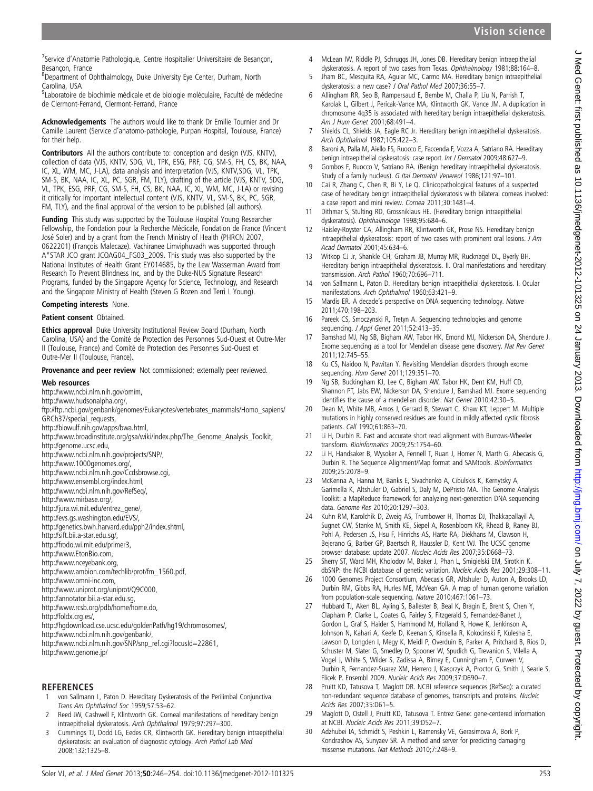<sup>7</sup>Service d'Anatomie Pathologique, Centre Hospitalier Universitaire de Besançon, Besançon, France

<sup>8</sup>Department of Ophthalmology, Duke University Eye Center, Durham, North Carolina, USA

<sup>9</sup>Laboratoire de biochimie médicale et de biologie moléculaire, Faculté de médecine de Clermont-Ferrand, Clermont-Ferrand, France

Acknowledgements The authors would like to thank Dr Emilie Tournier and Dr Camille Laurent (Service d'anatomo-pathologie, Purpan Hospital, Toulouse, France) for their help.

Contributors All the authors contribute to: conception and design (VJS, KNTV), collection of data (VJS, KNTV, SDG, VL, TPK, ESG, PRF, CG, SM-S, FH, CS, BK, NAA, IC, XL, WM, MC, J-LA), data analysis and interpretation (VJS, KNTV,SDG, VL, TPK, SM-S, BK, NAA, IC, XL, PC, SGR, FM, TLY), drafting of the article (VJS, KNTV, SDG, VL, TPK, ESG, PRF, CG, SM-S, FH, CS, BK, NAA, IC, XL, WM, MC, J-LA) or revising it critically for important intellectual content (VJS, KNTV, VL, SM-S, BK, PC, SGR, FM, TLY), and the final approval of the version to be published (all authors).

Funding This study was supported by the Toulouse Hospital Young Researcher Fellowship, the Fondation pour la Recherche Médicale, Fondation de France (Vincent José Soler) and by a grant from the French Ministry of Health (PHRCN 2007, 0622201) (François Malecaze). Vachiranee Limviphuvadh was supported through A\*STAR JCO grant JCOAG04\_FG03\_2009. This study was also supported by the National Institutes of Health Grant EY014685, by the Lew Wasserman Award from Research To Prevent Blindness Inc, and by the Duke-NUS Signature Research Programs, funded by the Singapore Agency for Science, Technology, and Research and the Singapore Ministry of Health (Steven G Rozen and Terri L Young).

#### Competing interests None.

#### Patient consent Obtained.

Ethics approval Duke University Institutional Review Board (Durham, North Carolina, USA) and the Comité de Protection des Personnes Sud-Ouest et Outre-Mer II (Toulouse, France) and Comité de Protection des Personnes Sud-Ouest et Outre-Mer II (Toulouse, France).

Provenance and peer review Not commissioned; externally peer reviewed.

#### Web resources

<http://www.ncbi.nlm.nih.gov/omim>, <http://www.hudsonalpha.org/>, [ftp://ftp.ncbi.gov/genbank/genomes/Eukaryotes/vertebrates\\_mammals/Homo\\_sapiens/](ftp://ftp.ncbi.gov/genbank/genomes/Eukaryotes/vertebrates_mammals/Homo_sapiens/GRCh37/special_requests) [GRCh37/special\\_requests,](ftp://ftp.ncbi.gov/genbank/genomes/Eukaryotes/vertebrates_mammals/Homo_sapiens/GRCh37/special_requests) <http://biowulf.nih.gov/apps/bwa.html>, [http://www.broadinstitute.org/gsa/wiki/index.php/The\\_Genome\\_Analysis\\_Toolkit](http://www.broadinstitute.org/gsa/wiki/index.php/The_Genome_Analysis_Toolkit), <http://genome.ucsc.edu>, [http://www.ncbi.nlm.nih.gov/projects/SNP/,](http://www.ncbi.nlm.nih.gov/projects/SNP/) <http://www.1000genomes.org/>, <http://www.ncbi.nlm.nih.gov/Ccdsbrowse.cgi>, [http://www.ensembl.org/index.html,](http://www.ensembl.org/index.html) [http://www.ncbi.nlm.nih.gov/RefSeq/,](http://www.ncbi.nlm.nih.gov/RefSeq/) [http://www.mirbase.org/,](http://www.mirbase.org/) [http://jura.wi.mit.edu/entrez\\_gene/,](http://jura.wi.mit.edu/entrez_gene/) [http://evs.gs.washington.edu/EVS/,](http://evs.gs.washington.edu/EVS/) [http://genetics.bwh.harvard.edu/pph2/index.shtml,](http://genetics.bwh.harvard.edu/pph2/index.shtml) [http://sift.bii.a-star.edu.sg/,](http://sift.bii.a-star.edu.sg/) <http://frodo.wi.mit.edu/primer3>, <http://www.EtonBio.com>, <http://www.nceyebank.org>, [http://www.ambion.com/techlib/prot/fm\\_1560.pdf](http://www.ambion.com/techlib/prot/fm_1560.pdf), [http://www.omni-inc.com,](http://www.omni-inc.com) <http://www.uniprot.org/uniprot/Q9C000>, <http://annotator.bii.a-star.edu.sg>, [http://www.rcsb.org/pdb/home/home.do,](http://www.rcsb.org/pdb/home/home.do) <http://foldx.crg.es/>, <http://hgdownload.cse.ucsc.edu/goldenPath/hg19/chromosomes/>, <http://www.ncbi.nlm.nih.gov/genbank/>, [http://www.ncbi.nlm.nih.gov/SNP/snp\\_ref.cgi?locusId=22861](http://www.ncbi.nlm.nih.gov/SNP/snp_ref.cgi?locusId=22861), <http://www.genome.jp/>

### REFERENCES

- 1 von Sallmann L, Paton D. Hereditary Dyskeratosis of the Perilimbal Conjunctiva. Trans Am Ophthalmol Soc 1959;57:53–62.
- 2 Reed JW, Cashwell F, Klintworth GK. Corneal manifestations of hereditary benign intraepithelial dyskeratosis. Arch Ophthalmol 1979;97:297–300.
- 3 Cummings TJ, Dodd LG, Eedes CR, Klintworth GK. Hereditary benign intraepithelial dyskeratosis: an evaluation of diagnostic cytology. Arch Pathol Lab Med 2008;132:1325–8.
- 4 McLean IW, Riddle PJ, Schruggs JH, Jones DB. Hereditary benign intraepithelial dyskeratosis. A report of two cases from Texas. Ophthalmology 1981;88:164-8.
- 5 Jham BC, Mesquita RA, Aguiar MC, Carmo MA. Hereditary benign intraepithelial dyskeratosis: a new case? J Oral Pathol Med 2007;36:55–7.
- 6 Allingham RR, Seo B, Rampersaud E, Bembe M, Challa P, Liu N, Parrish T, Karolak L, Gilbert J, Pericak-Vance MA, Klintworth GK, Vance JM. A duplication in chromosome 4q35 is associated with hereditary benign intraepithelial dyskeratosis. Am J Hum Genet 2001;68:491–4.
- 7 Shields CL, Shields JA, Eagle RC Jr. Hereditary benign intraepithelial dyskeratosis. Arch Ophthalmol 1987;105:422–3.
- 8 Baroni A, Palla M, Aiello FS, Ruocco E, Faccenda F, Vozza A, Satriano RA. Hereditary benign intraepithelial dyskeratosis: case report. Int J Dermatol 2009;48:627-9.
- 9 Gombos F, Ruocco V, Satriano RA. (Benign hereditary intraepithelial dyskeratosis. Study of a family nucleus). G Ital Dermatol Venereol 1986;121:97–101.
- 10 Cai R, Zhang C, Chen R, Bi Y, Le Q. Clinicopathological features of a suspected case of hereditary benign intraepithelial dyskeratosis with bilateral corneas involved: a case report and mini review. Cornea 2011;30:1481–4.
- 11 Dithmar S, Stulting RD, Grossniklaus HE. (Hereditary benign intraepithelial dyskeratosis). Ophthalmologe 1998;95:684–6.
- 12 Haisley-Royster CA, Allingham RR, Klintworth GK, Prose NS. Hereditary benign intraepithelial dyskeratosis: report of two cases with prominent oral lesions. J Am Acad Dermatol 2001;45:634–6.
- 13 Witkop CJ Jr, Shankle CH, Graham JB, Murray MR, Rucknagel DL, Byerly BH. Hereditary benign intraepithelial dyskeratosis. II. Oral manifestations and hereditary transmission. Arch Pathol 1960;70:696–711.
- 14 von Sallmann L, Paton D. Hereditary benign intraepithelial dyskeratosis. I. Ocular manifestations. Arch Ophthalmol 1960;63:421–9.
- 15 Mardis ER. A decade's perspective on DNA sequencing technology. Nature 2011;470:198–203.
- 16 Pareek CS, Smoczynski R, Tretyn A. Sequencing technologies and genome sequencing. J Appl Genet 2011;52:413–35.
- 17 Bamshad MJ, Ng SB, Bigham AW, Tabor HK, Emond MJ, Nickerson DA, Shendure J. Exome sequencing as a tool for Mendelian disease gene discovery. Nat Rev Genet 2011;12:745–55.
- 18 Ku CS, Naidoo N, Pawitan Y. Revisiting Mendelian disorders through exome sequencing. Hum Genet 2011;129:351–70.
- 19 Ng SB, Buckingham KJ, Lee C, Bigham AW, Tabor HK, Dent KM, Huff CD, Shannon PT, Jabs EW, Nickerson DA, Shendure J, Bamshad MJ. Exome sequencing identifies the cause of a mendelian disorder. Nat Genet 2010;42:30–5.
- 20 Dean M, White MB, Amos J, Gerrard B, Stewart C, Khaw KT, Leppert M. Multiple mutations in highly conserved residues are found in mildly affected cystic fibrosis patients. Cell 1990;61:863–70.
- 21 Li H, Durbin R. Fast and accurate short read alignment with Burrows-Wheeler transform. Bioinformatics 2009;25:1754–60.
- 22 Li H, Handsaker B, Wysoker A, Fennell T, Ruan J, Homer N, Marth G, Abecasis G, Durbin R. The Sequence Alignment/Map format and SAMtools. Bioinformatics 2009;25:2078–9.
- 23 McKenna A, Hanna M, Banks E, Sivachenko A, Cibulskis K, Kernytsky A, Garimella K, Altshuler D, Gabriel S, Daly M, DePristo MA. The Genome Analysis Toolkit: a MapReduce framework for analyzing next-generation DNA sequencing data. Genome Res 2010;20:1297–303.
- 24 Kuhn RM, Karolchik D, Zweig AS, Trumbower H, Thomas DJ, Thakkapallayil A, Sugnet CW, Stanke M, Smith KE, Siepel A, Rosenbloom KR, Rhead B, Raney BJ, Pohl A, Pedersen JS, Hsu F, Hinrichs AS, Harte RA, Diekhans M, Clawson H, Bejerano G, Barber GP, Baertsch R, Haussler D, Kent WJ. The UCSC genome browser database: update 2007. Nucleic Acids Res 2007;35:D668–73.
- 25 Sherry ST, Ward MH, Kholodov M, Baker J, Phan L, Smigielski EM, Sirotkin K. dbSNP: the NCBI database of genetic variation. Nucleic Acids Res 2001;29:308–11.
- 26 1000 Genomes Project Consortium, Abecasis GR, Altshuler D, Auton A, Brooks LD, Durbin RM, Gibbs RA, Hurles ME, McVean GA. A map of human genome variation from population-scale sequencing. Nature 2010;467:1061–73.
- 27 Hubbard TJ, Aken BL, Ayling S, Ballester B, Beal K, Bragin E, Brent S, Chen Y, Clapham P, Clarke L, Coates G, Fairley S, Fitzgerald S, Fernandez-Banet J, Gordon L, Graf S, Haider S, Hammond M, Holland R, Howe K, Jenkinson A, Johnson N, Kahari A, Keefe D, Keenan S, Kinsella R, Kokocinski F, Kulesha E, Lawson D, Longden I, Megy K, Meidl P, Overduin B, Parker A, Pritchard B, Rios D, Schuster M, Slater G, Smedley D, Spooner W, Spudich G, Trevanion S, Vilella A, Vogel J, White S, Wilder S, Zadissa A, Birney E, Cunningham F, Curwen V, Durbin R, Fernandez-Suarez XM, Herrero J, Kasprzyk A, Proctor G, Smith J, Searle S, Flicek P. Ensembl 2009. Nucleic Acids Res 2009;37:D690–7.
- 28 Pruitt KD, Tatusova T, Maglott DR. NCBI reference sequences (RefSeq): a curated non-redundant sequence database of genomes, transcripts and proteins. Nucleic Acids Res 2007;35:D61–5.
- 29 Maglott D, Ostell J, Pruitt KD, Tatusova T. Entrez Gene: gene-centered information at NCBI. Nucleic Acids Res 2011;39:D52–7.
- 30 Adzhubei IA, Schmidt S, Peshkin L, Ramensky VE, Gerasimova A, Bork P, Kondrashov AS, Sunyaev SR. A method and server for predicting damaging missense mutations. Nat Methods 2010;7:248–9.